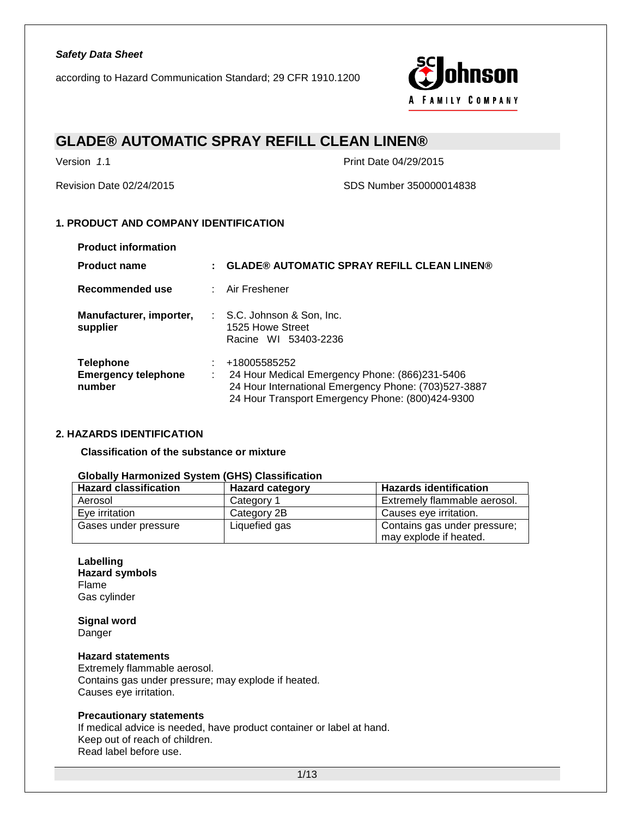according to Hazard Communication Standard; 29 CFR 1910.1200



### **GLADE® AUTOMATIC SPRAY REFILL CLEAN LINEN®**

Version *1*.1 Print Date 04/29/2015

Revision Date 02/24/2015 SDS Number 350000014838

### **1. PRODUCT AND COMPANY IDENTIFICATION**

| <b>Product information</b>                               |         |                                                                                                                                                                            |
|----------------------------------------------------------|---------|----------------------------------------------------------------------------------------------------------------------------------------------------------------------------|
| <b>Product name</b>                                      |         | <b>GLADE® AUTOMATIC SPRAY REFILL CLEAN LINEN®</b>                                                                                                                          |
| Recommended use                                          |         | : Air Freshener                                                                                                                                                            |
| Manufacturer, importer,<br>supplier                      |         | : S.C. Johnson & Son, Inc.<br>1525 Howe Street<br>Racine WI 53403-2236                                                                                                     |
| <b>Telephone</b><br><b>Emergency telephone</b><br>number | ÷<br>÷. | +18005585252<br>24 Hour Medical Emergency Phone: (866)231-5406<br>24 Hour International Emergency Phone: (703)527-3887<br>24 Hour Transport Emergency Phone: (800)424-9300 |

### **2. HAZARDS IDENTIFICATION**

**Classification of the substance or mixture**

### **Globally Harmonized System (GHS) Classification**

| <b>Hazard classification</b> | <b>Hazard category</b> | <b>Hazards identification</b> |
|------------------------------|------------------------|-------------------------------|
| Aerosol                      | Category 1             | Extremely flammable aerosol.  |
| Eve irritation               | Category 2B            | Causes eye irritation.        |
| Gases under pressure         | Liquefied gas          | Contains gas under pressure;  |
|                              |                        | may explode if heated.        |

**Labelling Hazard symbols** Flame Gas cylinder

**Signal word** Danger

#### **Hazard statements**

Extremely flammable aerosol. Contains gas under pressure; may explode if heated. Causes eye irritation.

#### **Precautionary statements**

If medical advice is needed, have product container or label at hand. Keep out of reach of children. Read label before use.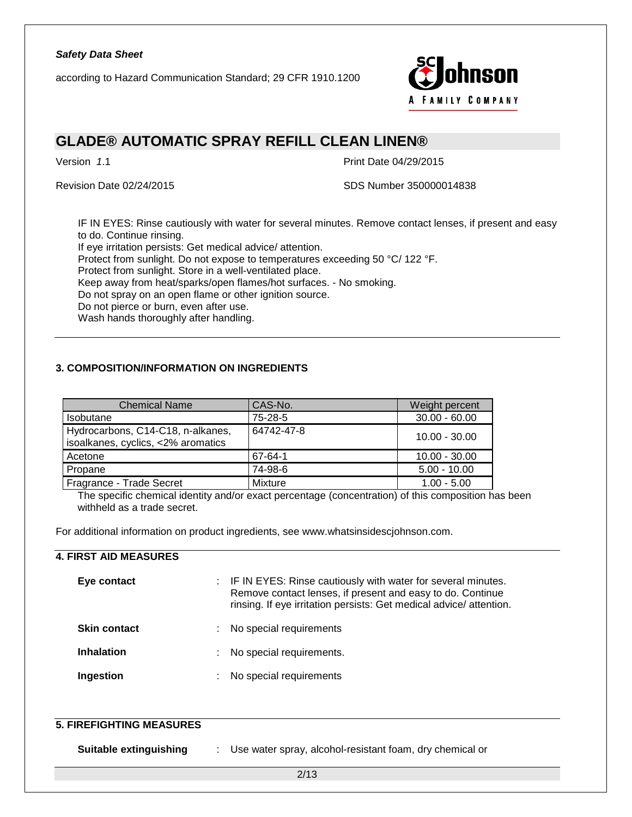according to Hazard Communication Standard; 29 CFR 1910.1200



### **GLADE® AUTOMATIC SPRAY REFILL CLEAN LINEN®**

Version *1*.1 Print Date 04/29/2015

Revision Date 02/24/2015 SDS Number 350000014838

IF IN EYES: Rinse cautiously with water for several minutes. Remove contact lenses, if present and easy to do. Continue rinsing.

If eye irritation persists: Get medical advice/ attention.

Protect from sunlight. Do not expose to temperatures exceeding 50 °C/ 122 °F.

Protect from sunlight. Store in a well-ventilated place.

Keep away from heat/sparks/open flames/hot surfaces. - No smoking.

Do not spray on an open flame or other ignition source.

Do not pierce or burn, even after use.

Wash hands thoroughly after handling.

### **3. COMPOSITION/INFORMATION ON INGREDIENTS**

| <b>Chemical Name</b>                                                    | CAS-No.    | Weight percent  |
|-------------------------------------------------------------------------|------------|-----------------|
| <b>Isobutane</b>                                                        | 75-28-5    | $30.00 - 60.00$ |
| Hydrocarbons, C14-C18, n-alkanes,<br>isoalkanes, cyclics, <2% aromatics | 64742-47-8 | $10.00 - 30.00$ |
| Acetone                                                                 | 67-64-1    | $10.00 - 30.00$ |
| Propane                                                                 | 74-98-6    | $5.00 - 10.00$  |
| Fragrance - Trade Secret                                                | Mixture    | $1.00 - 5.00$   |

The specific chemical identity and/or exact percentage (concentration) of this composition has been withheld as a trade secret.

For additional information on product ingredients, see www.whatsinsidescjohnson.com.

### **4. FIRST AID MEASURES**

| Eye contact         |    | : IF IN EYES: Rinse cautiously with water for several minutes.<br>Remove contact lenses, if present and easy to do. Continue<br>rinsing. If eye irritation persists: Get medical advice/attention. |
|---------------------|----|----------------------------------------------------------------------------------------------------------------------------------------------------------------------------------------------------|
| <b>Skin contact</b> | ÷. | No special requirements                                                                                                                                                                            |
| <b>Inhalation</b>   | ÷. | No special requirements.                                                                                                                                                                           |
| Ingestion           | ÷  | No special requirements                                                                                                                                                                            |

| <b>5. FIREFIGHTING MEASURES</b> |                                                          |
|---------------------------------|----------------------------------------------------------|
| <b>Suitable extinguishing</b>   | Use water spray, alcohol-resistant foam, dry chemical or |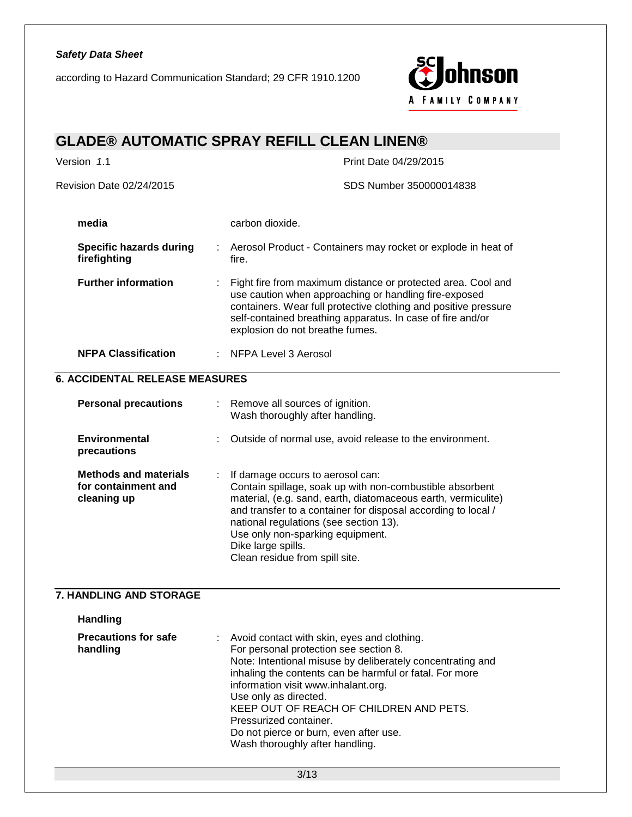according to Hazard Communication Standard; 29 CFR 1910.1200



# **GLADE® AUTOMATIC SPRAY REFILL CLEAN LINEN®**

| Version 1.1                                                        | Print Date 04/29/2015                                                                                                                                                                                                                                                                                                                                                                                                            |  |
|--------------------------------------------------------------------|----------------------------------------------------------------------------------------------------------------------------------------------------------------------------------------------------------------------------------------------------------------------------------------------------------------------------------------------------------------------------------------------------------------------------------|--|
| Revision Date 02/24/2015                                           | SDS Number 350000014838                                                                                                                                                                                                                                                                                                                                                                                                          |  |
| media                                                              | carbon dioxide.                                                                                                                                                                                                                                                                                                                                                                                                                  |  |
| <b>Specific hazards during</b><br>firefighting                     | Aerosol Product - Containers may rocket or explode in heat of<br>fire.                                                                                                                                                                                                                                                                                                                                                           |  |
| <b>Further information</b>                                         | Fight fire from maximum distance or protected area. Cool and<br>use caution when approaching or handling fire-exposed<br>containers. Wear full protective clothing and positive pressure<br>self-contained breathing apparatus. In case of fire and/or<br>explosion do not breathe fumes.                                                                                                                                        |  |
| <b>NFPA Classification</b>                                         | <b>NFPA Level 3 Aerosol</b>                                                                                                                                                                                                                                                                                                                                                                                                      |  |
| <b>6. ACCIDENTAL RELEASE MEASURES</b>                              |                                                                                                                                                                                                                                                                                                                                                                                                                                  |  |
| <b>Personal precautions</b>                                        | : Remove all sources of ignition.<br>Wash thoroughly after handling.                                                                                                                                                                                                                                                                                                                                                             |  |
| <b>Environmental</b><br>precautions                                | Outside of normal use, avoid release to the environment.                                                                                                                                                                                                                                                                                                                                                                         |  |
| <b>Methods and materials</b><br>for containment and<br>cleaning up | If damage occurs to aerosol can:<br>Contain spillage, soak up with non-combustible absorbent<br>material, (e.g. sand, earth, diatomaceous earth, vermiculite)<br>and transfer to a container for disposal according to local /<br>national regulations (see section 13).<br>Use only non-sparking equipment.<br>Dike large spills.<br>Clean residue from spill site.                                                             |  |
| 7. HANDLING AND STORAGE                                            |                                                                                                                                                                                                                                                                                                                                                                                                                                  |  |
| Handling                                                           |                                                                                                                                                                                                                                                                                                                                                                                                                                  |  |
| <b>Precautions for safe</b><br>handling                            | Avoid contact with skin, eyes and clothing.<br>For personal protection see section 8.<br>Note: Intentional misuse by deliberately concentrating and<br>inhaling the contents can be harmful or fatal. For more<br>information visit www.inhalant.org.<br>Use only as directed.<br>KEEP OUT OF REACH OF CHILDREN AND PETS.<br>Pressurized container.<br>Do not pierce or burn, even after use.<br>Wash thoroughly after handling. |  |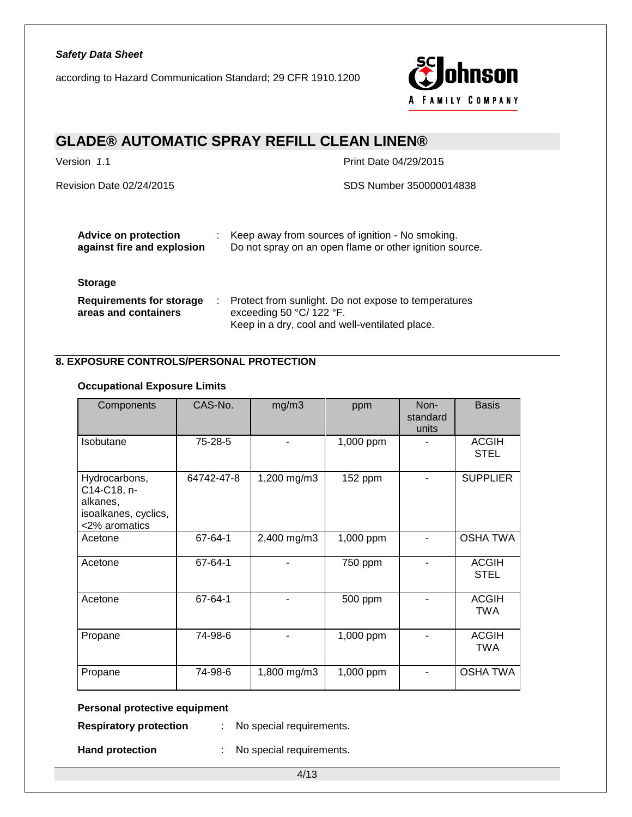according to Hazard Communication Standard; 29 CFR 1910.1200



# **GLADE® AUTOMATIC SPRAY REFILL CLEAN LINEN®**

Version *1.1* Print Date 04/29/2015

Revision Date 02/24/2015 SDS Number 350000014838

| <b>Advice on protection</b><br>against fire and explosion                 | Keep away from sources of ignition - No smoking.<br>Do not spray on an open flame or other ignition source.                        |
|---------------------------------------------------------------------------|------------------------------------------------------------------------------------------------------------------------------------|
| <b>Storage</b><br><b>Requirements for storage</b><br>areas and containers | Protect from sunlight. Do not expose to temperatures<br>exceeding 50 °C/ 122 °F.<br>Keep in a dry, cool and well-ventilated place. |

### **8. EXPOSURE CONTROLS/PERSONAL PROTECTION**

### **Occupational Exposure Limits**

| Components                                                                        | CAS-No.    | mg/m3       | ppm       | Non-<br>standard<br>units | <b>Basis</b>                |
|-----------------------------------------------------------------------------------|------------|-------------|-----------|---------------------------|-----------------------------|
| Isobutane                                                                         | 75-28-5    |             | 1,000 ppm |                           | <b>ACGIH</b><br><b>STEL</b> |
| Hydrocarbons,<br>C14-C18, n-<br>alkanes,<br>isoalkanes, cyclics,<br><2% aromatics | 64742-47-8 | 1,200 mg/m3 | 152 ppm   |                           | <b>SUPPLIER</b>             |
| Acetone                                                                           | 67-64-1    | 2,400 mg/m3 | 1,000 ppm |                           | <b>OSHA TWA</b>             |
| Acetone                                                                           | 67-64-1    |             | 750 ppm   |                           | <b>ACGIH</b><br><b>STEL</b> |
| Acetone                                                                           | 67-64-1    |             | 500 ppm   |                           | <b>ACGIH</b><br><b>TWA</b>  |
| Propane                                                                           | 74-98-6    |             | 1,000 ppm |                           | <b>ACGIH</b><br><b>TWA</b>  |
| Propane                                                                           | 74-98-6    | 1,800 mg/m3 | 1,000 ppm |                           | <b>OSHA TWA</b>             |

### **Personal protective equipment**

**Respiratory protection** : No special requirements.

**Hand protection** : No special requirements.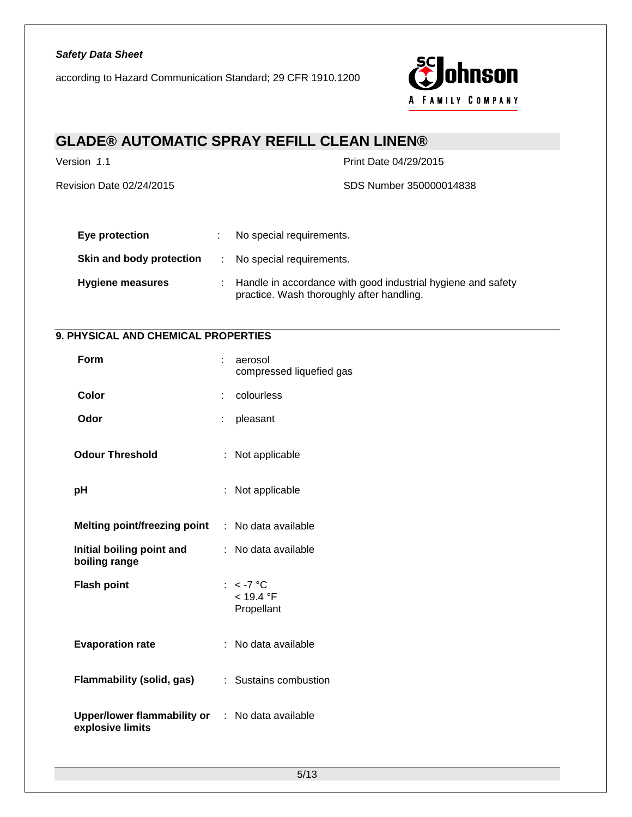according to Hazard Communication Standard; 29 CFR 1910.1200



# **GLADE® AUTOMATIC SPRAY REFILL CLEAN LINEN®**

Version *1.1* Print Date 04/29/2015

Revision Date 02/24/2015 SDS Number 350000014838

| Eye protection           | No special requirements.                                                                                    |
|--------------------------|-------------------------------------------------------------------------------------------------------------|
| Skin and body protection | : No special requirements.                                                                                  |
| <b>Hygiene measures</b>  | : Handle in accordance with good industrial hygiene and safety<br>practice. Wash thoroughly after handling. |

### **9. PHYSICAL AND CHEMICAL PROPERTIES**

| Form                                                                       |    | aerosol<br>compressed liquefied gas    |
|----------------------------------------------------------------------------|----|----------------------------------------|
| Color                                                                      |    | colourless                             |
| Odor                                                                       | ÷  | pleasant                               |
| <b>Odour Threshold</b>                                                     | t. | Not applicable                         |
| рH                                                                         |    | : Not applicable                       |
| <b>Melting point/freezing point</b>                                        |    | : No data available                    |
| Initial boiling point and<br>boiling range                                 |    | : No data available                    |
| <b>Flash point</b>                                                         |    | : $< -7$ °C<br>< 19.4 °F<br>Propellant |
| <b>Evaporation rate</b>                                                    |    | : No data available                    |
| Flammability (solid, gas)                                                  |    | : Sustains combustion                  |
| <b>Upper/lower flammability or : No data available</b><br>explosive limits |    |                                        |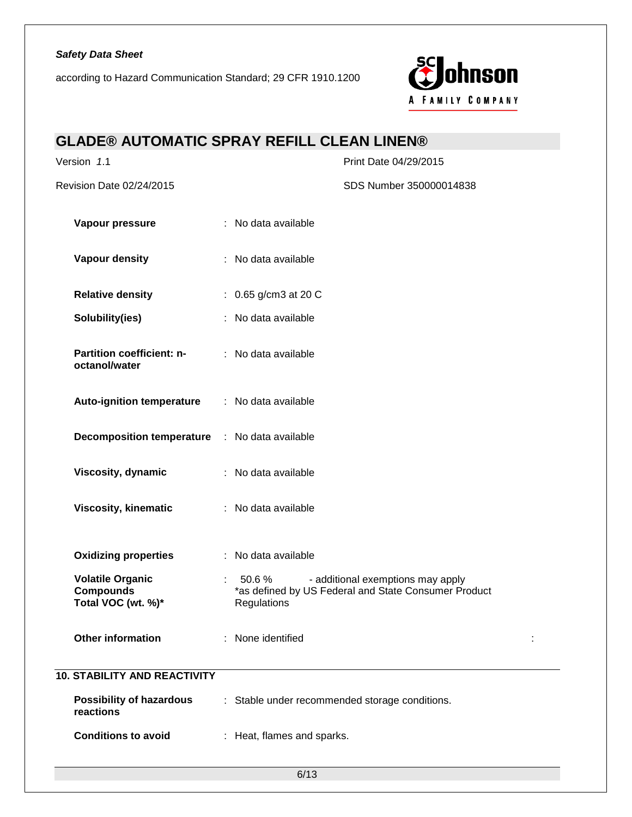according to Hazard Communication Standard; 29 CFR 1910.1200



# **GLADE® AUTOMATIC SPRAY REFILL CLEAN LINEN®**

| Version 1.1                                                       | Print Date 04/29/2015                                                                                                                           |  |
|-------------------------------------------------------------------|-------------------------------------------------------------------------------------------------------------------------------------------------|--|
| Revision Date 02/24/2015                                          | SDS Number 350000014838                                                                                                                         |  |
| Vapour pressure                                                   | : No data available                                                                                                                             |  |
| Vapour density                                                    | : No data available                                                                                                                             |  |
| <b>Relative density</b>                                           | : $0.65$ g/cm3 at 20 C                                                                                                                          |  |
| Solubility(ies)                                                   | : No data available                                                                                                                             |  |
| Partition coefficient: n-<br>octanol/water                        | : No data available                                                                                                                             |  |
| <b>Auto-ignition temperature</b>                                  | : No data available                                                                                                                             |  |
| <b>Decomposition temperature : No data available</b>              |                                                                                                                                                 |  |
| Viscosity, dynamic                                                | : No data available                                                                                                                             |  |
| <b>Viscosity, kinematic</b>                                       | : No data available                                                                                                                             |  |
| <b>Oxidizing properties</b>                                       | : No data available                                                                                                                             |  |
| <b>Volatile Organic</b><br><b>Compounds</b><br>Total VOC (wt. %)* | 50.6%<br>- additional exemptions may apply<br>$\mathcal{L}^{\text{max}}$<br>*as defined by US Federal and State Consumer Product<br>Regulations |  |
| <b>Other information</b>                                          | : None identified                                                                                                                               |  |
| <b>10. STABILITY AND REACTIVITY</b>                               |                                                                                                                                                 |  |
| <b>Possibility of hazardous</b><br>reactions                      | : Stable under recommended storage conditions.                                                                                                  |  |
| <b>Conditions to avoid</b>                                        | : Heat, flames and sparks.                                                                                                                      |  |
|                                                                   |                                                                                                                                                 |  |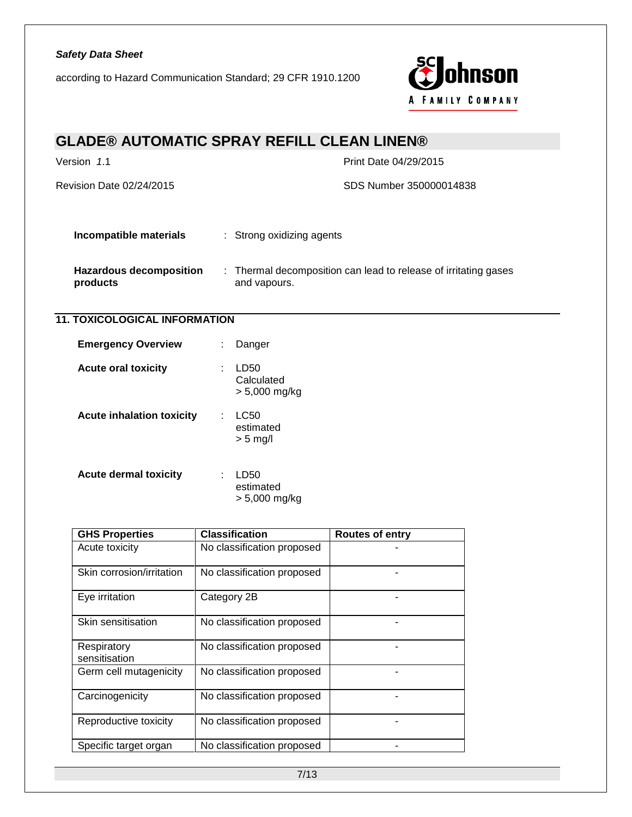according to Hazard Communication Standard; 29 CFR 1910.1200



# **GLADE® AUTOMATIC SPRAY REFILL CLEAN LINEN®** Version *1*.1 Print Date 04/29/2015 Revision Date 02/24/2015 SDS Number 350000014838 **Incompatible materials** : Strong oxidizing agents **Hazardous decomposition products** : Thermal decomposition can lead to release of irritating gases and vapours. **11. TOXICOLOGICAL INFORMATION Emergency Overview : Danger Acute oral toxicity** : LD50 **Calculated**

| <b>GHS Properties</b>        | <b>Classification</b>      | <b>Routes of entry</b> |
|------------------------------|----------------------------|------------------------|
| Acute toxicity               | No classification proposed |                        |
| Skin corrosion/irritation    | No classification proposed |                        |
| Eye irritation               | Category 2B                |                        |
| Skin sensitisation           | No classification proposed |                        |
| Respiratory<br>sensitisation | No classification proposed |                        |
| Germ cell mutagenicity       | No classification proposed |                        |
| Carcinogenicity              | No classification proposed |                        |
| Reproductive toxicity        | No classification proposed |                        |
| Specific target organ        | No classification proposed |                        |

> 5,000 mg/kg

estimated > 5 mg/l

estimated > 5,000 mg/kg

**Acute inhalation toxicity** : LC50

**Acute dermal toxicity** : LD50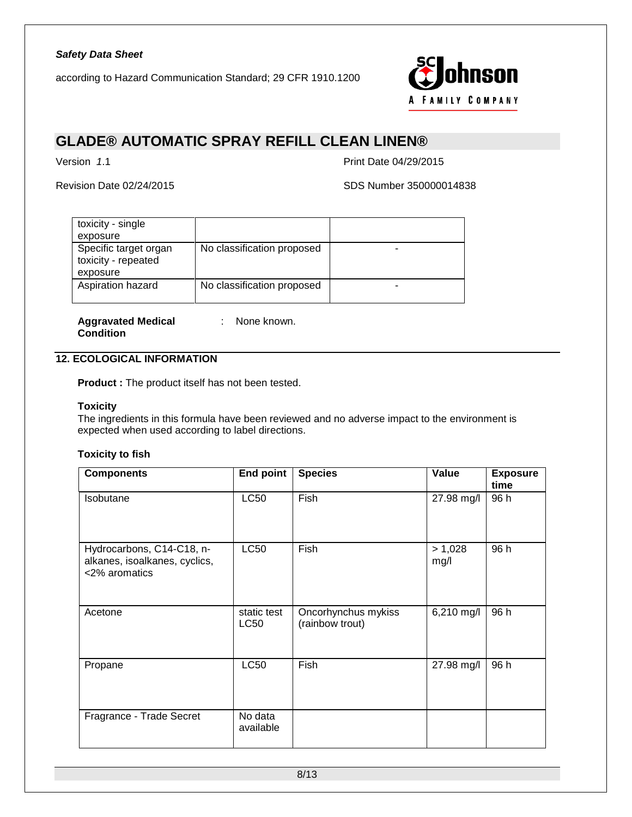

## **GLADE® AUTOMATIC SPRAY REFILL CLEAN LINEN®**

Version *1*.1 Print Date 04/29/2015

Revision Date 02/24/2015 SDS Number 350000014838

| toxicity - single                                        |                            |  |
|----------------------------------------------------------|----------------------------|--|
| exposure                                                 |                            |  |
| Specific target organ<br>toxicity - repeated<br>exposure | No classification proposed |  |
| Aspiration hazard                                        | No classification proposed |  |

**Aggravated Medical Condition**

: None known.

### **12. ECOLOGICAL INFORMATION**

**Product :** The product itself has not been tested.

#### **Toxicity**

The ingredients in this formula have been reviewed and no adverse impact to the environment is expected when used according to label directions.

### **Toxicity to fish**

| <b>Components</b>                                                           | <b>End point</b>           | <b>Species</b>                         | Value           | <b>Exposure</b><br>time |
|-----------------------------------------------------------------------------|----------------------------|----------------------------------------|-----------------|-------------------------|
| Isobutane                                                                   | <b>LC50</b>                | Fish                                   | 27.98 mg/l      | 96 h                    |
| Hydrocarbons, C14-C18, n-<br>alkanes, isoalkanes, cyclics,<br><2% aromatics | <b>LC50</b>                | Fish                                   | > 1,028<br>mg/l | 96 h                    |
| Acetone                                                                     | static test<br><b>LC50</b> | Oncorhynchus mykiss<br>(rainbow trout) | 6,210 mg/l      | 96 h                    |
| Propane                                                                     | <b>LC50</b>                | Fish                                   | 27.98 mg/l      | 96 h                    |
| Fragrance - Trade Secret                                                    | No data<br>available       |                                        |                 |                         |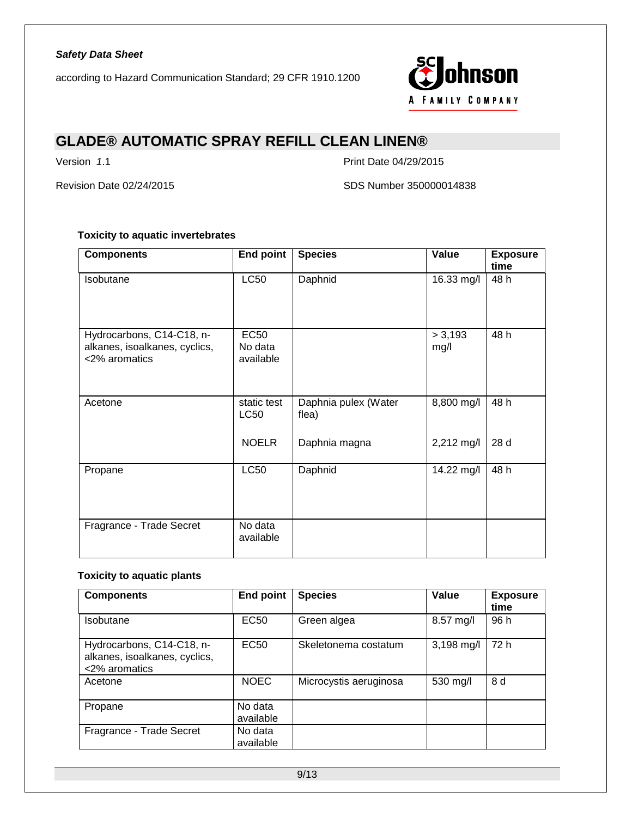

# **GLADE® AUTOMATIC SPRAY REFILL CLEAN LINEN®**

Version *1.1* Print Date 04/29/2015

Revision Date 02/24/2015 SDS Number 350000014838

### **Toxicity to aquatic invertebrates**

| <b>Components</b>                                                           | <b>End point</b>                    | <b>Species</b>                | Value           | <b>Exposure</b><br>time |
|-----------------------------------------------------------------------------|-------------------------------------|-------------------------------|-----------------|-------------------------|
| <b>Isobutane</b>                                                            | <b>LC50</b>                         | Daphnid                       | 16.33 mg/l      | 48 h                    |
| Hydrocarbons, C14-C18, n-<br>alkanes, isoalkanes, cyclics,<br><2% aromatics | <b>EC50</b><br>No data<br>available |                               | > 3,193<br>mg/l | 48 h                    |
| Acetone                                                                     | static test<br><b>LC50</b>          | Daphnia pulex (Water<br>flea) | 8,800 mg/l      | 48 h                    |
|                                                                             | <b>NOELR</b>                        | Daphnia magna                 | 2,212 mg/l      | 28 d                    |
| Propane                                                                     | <b>LC50</b>                         | Daphnid                       | 14.22 mg/l      | 48 h                    |
| Fragrance - Trade Secret                                                    | No data<br>available                |                               |                 |                         |

### **Toxicity to aquatic plants**

| <b>Components</b>                                                           | <b>End point</b>     | <b>Species</b>         | Value      | <b>Exposure</b><br>time |
|-----------------------------------------------------------------------------|----------------------|------------------------|------------|-------------------------|
| Isobutane                                                                   | EC50                 | Green algea            | 8.57 mg/l  | 96 h                    |
| Hydrocarbons, C14-C18, n-<br>alkanes, isoalkanes, cyclics,<br><2% aromatics | <b>EC50</b>          | Skeletonema costatum   | 3,198 mg/l | 72 h                    |
| Acetone                                                                     | <b>NOEC</b>          | Microcystis aeruginosa | 530 mg/l   | 8 d                     |
| Propane                                                                     | No data<br>available |                        |            |                         |
| Fragrance - Trade Secret                                                    | No data<br>available |                        |            |                         |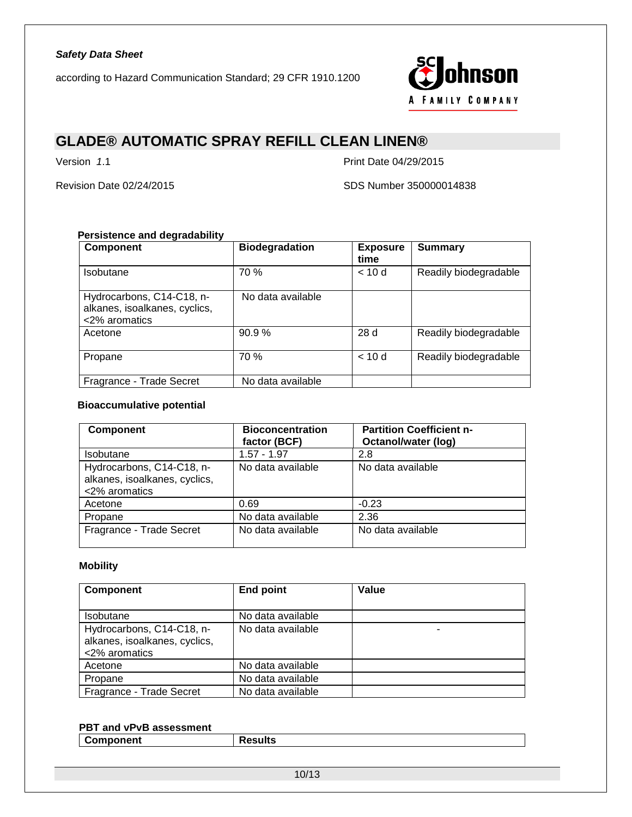

# **GLADE® AUTOMATIC SPRAY REFILL CLEAN LINEN®**

Version *1.1* Print Date 04/29/2015

Revision Date 02/24/2015 SDS Number 350000014838

### **Persistence and degradability**

| <b>Component</b>                                                            | <b>Biodegradation</b> | <b>Exposure</b><br>time | <b>Summary</b>        |
|-----------------------------------------------------------------------------|-----------------------|-------------------------|-----------------------|
| Isobutane                                                                   | 70 %                  | < 10d                   | Readily biodegradable |
| Hydrocarbons, C14-C18, n-<br>alkanes, isoalkanes, cyclics,<br><2% aromatics | No data available     |                         |                       |
| Acetone                                                                     | 90.9%                 | 28d                     | Readily biodegradable |
| Propane                                                                     | 70 %                  | < 10d                   | Readily biodegradable |
| Fragrance - Trade Secret                                                    | No data available     |                         |                       |

#### **Bioaccumulative potential**

| <b>Component</b>                                                            | <b>Bioconcentration</b><br>factor (BCF) | <b>Partition Coefficient n-</b><br>Octanol/water (log) |
|-----------------------------------------------------------------------------|-----------------------------------------|--------------------------------------------------------|
| <b>Isobutane</b>                                                            | $1.57 - 1.97$                           | 2.8                                                    |
| Hydrocarbons, C14-C18, n-<br>alkanes, isoalkanes, cyclics,<br><2% aromatics | No data available                       | No data available                                      |
| Acetone                                                                     | 0.69                                    | $-0.23$                                                |
| Propane                                                                     | No data available                       | 2.36                                                   |
| Fragrance - Trade Secret                                                    | No data available                       | No data available                                      |

### **Mobility**

| <b>Component</b>                                                            | <b>End point</b>  | Value |
|-----------------------------------------------------------------------------|-------------------|-------|
|                                                                             |                   |       |
| Isobutane                                                                   | No data available |       |
| Hydrocarbons, C14-C18, n-<br>alkanes, isoalkanes, cyclics,<br><2% aromatics | No data available |       |
| Acetone                                                                     | No data available |       |
| Propane                                                                     | No data available |       |
| Fragrance - Trade Secret                                                    | No data available |       |

#### **PBT and vPvB assessment**

| <b>Component</b><br>. I be<br>75uns |  |
|-------------------------------------|--|
|                                     |  |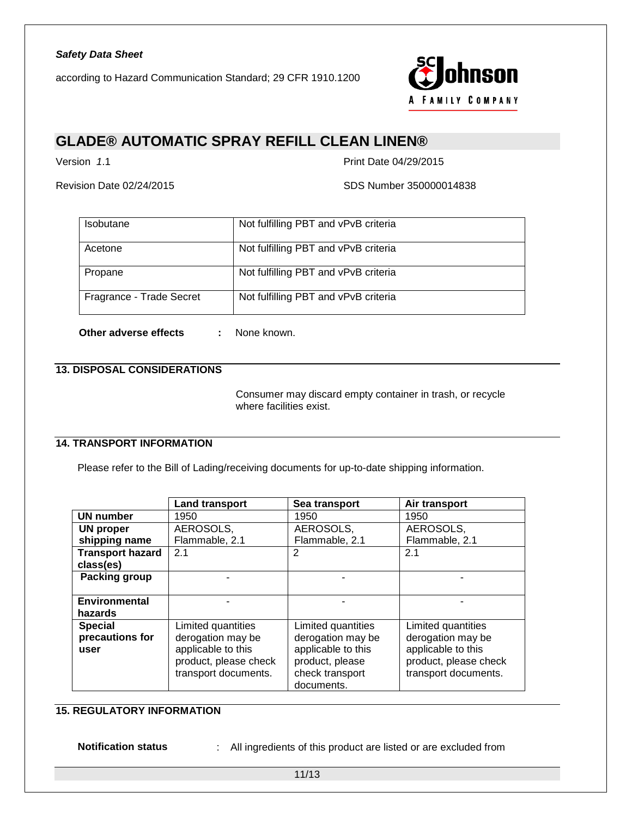

# **GLADE® AUTOMATIC SPRAY REFILL CLEAN LINEN®**

Version *1*.1 Print Date 04/29/2015

Revision Date 02/24/2015 SDS Number 350000014838

| <b>Isobutane</b>         | Not fulfilling PBT and vPvB criteria |
|--------------------------|--------------------------------------|
| Acetone                  | Not fulfilling PBT and vPvB criteria |
| Propane                  | Not fulfilling PBT and vPvB criteria |
| Fragrance - Trade Secret | Not fulfilling PBT and vPvB criteria |

**Other adverse effects :** None known.

### **13. DISPOSAL CONSIDERATIONS**

Consumer may discard empty container in trash, or recycle where facilities exist.

### **14. TRANSPORT INFORMATION**

Please refer to the Bill of Lading/receiving documents for up-to-date shipping information.

|                         | <b>Land transport</b> | Sea transport      | Air transport         |
|-------------------------|-----------------------|--------------------|-----------------------|
| <b>UN number</b>        | 1950                  | 1950               | 1950                  |
| <b>UN proper</b>        | AEROSOLS,             | AEROSOLS,          | AEROSOLS,             |
| shipping name           | Flammable, 2.1        | Flammable, 2.1     | Flammable, 2.1        |
| <b>Transport hazard</b> | 2.1                   | 2                  | 2.1                   |
| class(es)               |                       |                    |                       |
| Packing group           |                       |                    |                       |
|                         |                       |                    |                       |
| <b>Environmental</b>    |                       |                    |                       |
| hazards                 |                       |                    |                       |
| <b>Special</b>          | Limited quantities    | Limited quantities | Limited quantities    |
| precautions for         | derogation may be     | derogation may be  | derogation may be     |
| user                    | applicable to this    | applicable to this | applicable to this    |
|                         | product, please check | product, please    | product, please check |
|                         | transport documents.  | check transport    | transport documents.  |
|                         |                       | documents.         |                       |

### **15. REGULATORY INFORMATION**

**Notification status** : All ingredients of this product are listed or are excluded from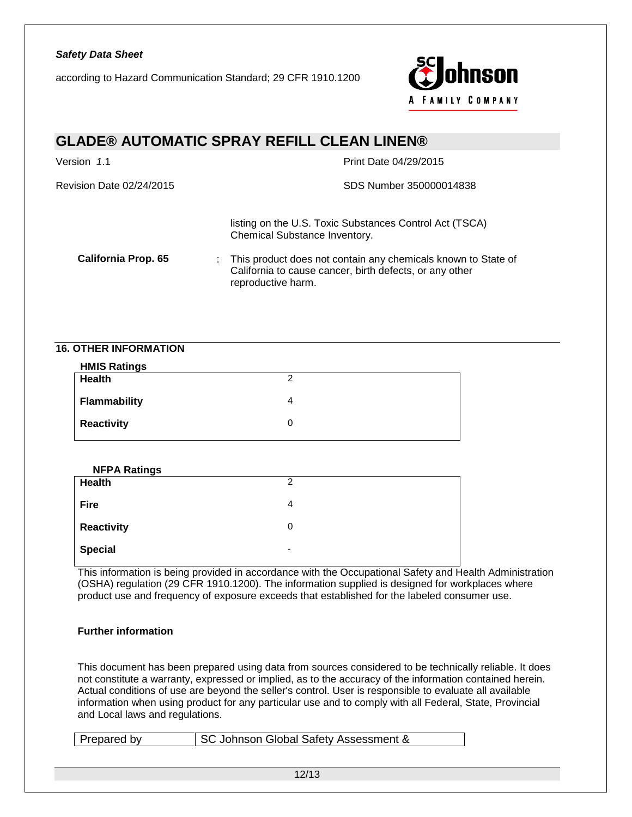according to Hazard Communication Standard; 29 CFR 1910.1200



### **GLADE® AUTOMATIC SPRAY REFILL CLEAN LINEN®**

| Version 1.1                | Print Date 04/29/2015                                                                                                                            |
|----------------------------|--------------------------------------------------------------------------------------------------------------------------------------------------|
| Revision Date 02/24/2015   | SDS Number 350000014838                                                                                                                          |
|                            | listing on the U.S. Toxic Substances Control Act (TSCA)<br>Chemical Substance Inventory.                                                         |
| <b>California Prop. 65</b> | : This product does not contain any chemicals known to State of<br>California to cause cancer, birth defects, or any other<br>reproductive harm. |

### **16. OTHER INFORMATION**

| <b>HMIS Ratings</b> |   |
|---------------------|---|
| <b>Health</b>       | ◠ |
| <b>Flammability</b> |   |
| <b>Reactivity</b>   | O |

| <b>NFPA Ratings</b> |   |
|---------------------|---|
| Health              | 2 |
| <b>Fire</b>         | 4 |
| <b>Reactivity</b>   | 0 |
| <b>Special</b>      | ٠ |

This information is being provided in accordance with the Occupational Safety and Health Administration (OSHA) regulation (29 CFR 1910.1200). The information supplied is designed for workplaces where product use and frequency of exposure exceeds that established for the labeled consumer use.

#### **Further information**

This document has been prepared using data from sources considered to be technically reliable. It does not constitute a warranty, expressed or implied, as to the accuracy of the information contained herein. Actual conditions of use are beyond the seller's control. User is responsible to evaluate all available information when using product for any particular use and to comply with all Federal, State, Provincial and Local laws and regulations.

| Prepared by | SC Johnson Global Safety Assessment & |
|-------------|---------------------------------------|
|-------------|---------------------------------------|